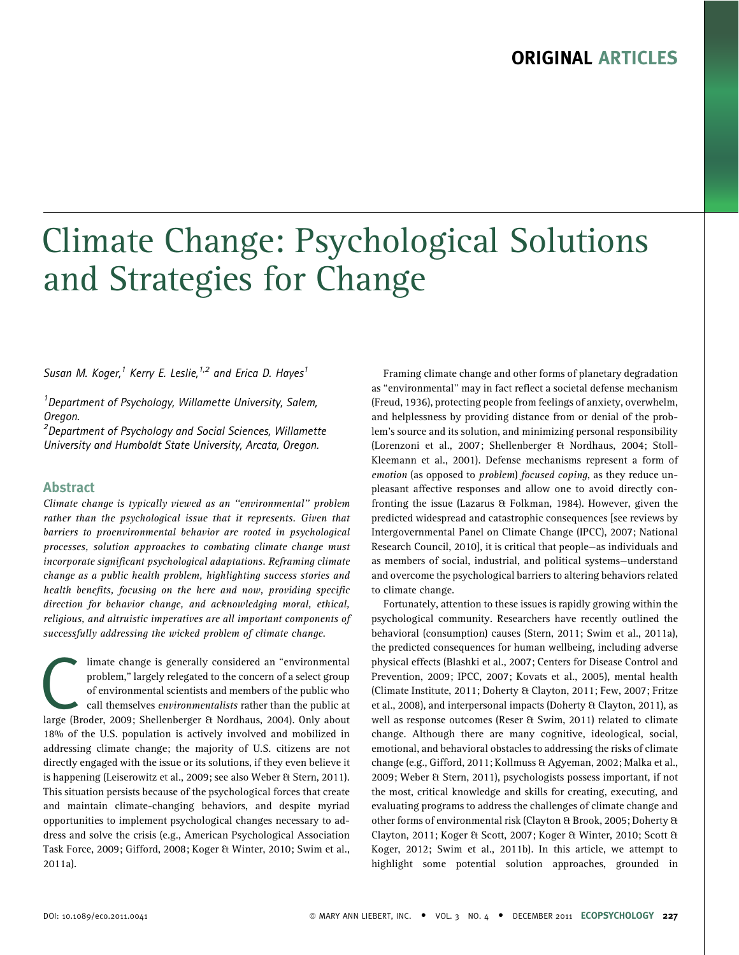# Climate Change: Psychological Solutions and Strategies for Change

Susan M. Koger,<sup>1</sup> Kerry E. Leslie,<sup>1,2</sup> and Erica D. Hayes<sup>1</sup>

<sup>1</sup> Department of Psychology, Willamette University, Salem, Oregon.

<sup>2</sup>Department of Psychology and Social Sciences, Willamette University and Humboldt State University, Arcata, Oregon.

#### Abstract

Climate change is typically viewed as an ''environmental'' problem rather than the psychological issue that it represents. Given that barriers to proenvironmental behavior are rooted in psychological processes, solution approaches to combating climate change must incorporate significant psychological adaptations. Reframing climate change as a public health problem, highlighting success stories and health benefits, focusing on the here and now, providing specific direction for behavior change, and acknowledging moral, ethical, religious, and altruistic imperatives are all important components of successfully addressing the wicked problem of climate change.

limate change is generally considered an "environmental<br>problem," largely relegated to the concern of a select group<br>of environmental scientists and members of the public who<br>call themselves *environmentalists* rather than problem,'' largely relegated to the concern of a select group of environmental scientists and members of the public who call themselves environmentalists rather than the public at large (Broder, 2009; Shellenberger & Nordhaus, 2004). Only about 18% of the U.S. population is actively involved and mobilized in addressing climate change; the majority of U.S. citizens are not directly engaged with the issue or its solutions, if they even believe it is happening (Leiserowitz et al., 2009; see also Weber & Stern, 2011). This situation persists because of the psychological forces that create and maintain climate-changing behaviors, and despite myriad opportunities to implement psychological changes necessary to address and solve the crisis (e.g., American Psychological Association Task Force, 2009; Gifford, 2008; Koger & Winter, 2010; Swim et al., 2011a).

Framing climate change and other forms of planetary degradation as ''environmental'' may in fact reflect a societal defense mechanism (Freud, 1936), protecting people from feelings of anxiety, overwhelm, and helplessness by providing distance from or denial of the problem's source and its solution, and minimizing personal responsibility (Lorenzoni et al., 2007; Shellenberger & Nordhaus, 2004; Stoll-Kleemann et al., 2001). Defense mechanisms represent a form of emotion (as opposed to *problem) focused coping*, as they reduce unpleasant affective responses and allow one to avoid directly confronting the issue (Lazarus & Folkman, 1984). However, given the predicted widespread and catastrophic consequences [see reviews by Intergovernmental Panel on Climate Change (IPCC), 2007; National Research Council, 2010], it is critical that people—as individuals and as members of social, industrial, and political systems—understand and overcome the psychological barriers to altering behaviors related to climate change.

Fortunately, attention to these issues is rapidly growing within the psychological community. Researchers have recently outlined the behavioral (consumption) causes (Stern, 2011; Swim et al., 2011a), the predicted consequences for human wellbeing, including adverse physical effects (Blashki et al., 2007; Centers for Disease Control and Prevention, 2009; IPCC, 2007; Kovats et al., 2005), mental health (Climate Institute, 2011; Doherty & Clayton, 2011; Few, 2007; Fritze et al., 2008), and interpersonal impacts (Doherty & Clayton, 2011), as well as response outcomes (Reser & Swim, 2011) related to climate change. Although there are many cognitive, ideological, social, emotional, and behavioral obstacles to addressing the risks of climate change (e.g., Gifford, 2011; Kollmuss & Agyeman, 2002; Malka et al., 2009; Weber & Stern, 2011), psychologists possess important, if not the most, critical knowledge and skills for creating, executing, and evaluating programs to address the challenges of climate change and other forms of environmental risk (Clayton & Brook, 2005; Doherty & Clayton, 2011; Koger & Scott, 2007; Koger & Winter, 2010; Scott & Koger, 2012; Swim et al., 2011b). In this article, we attempt to highlight some potential solution approaches, grounded in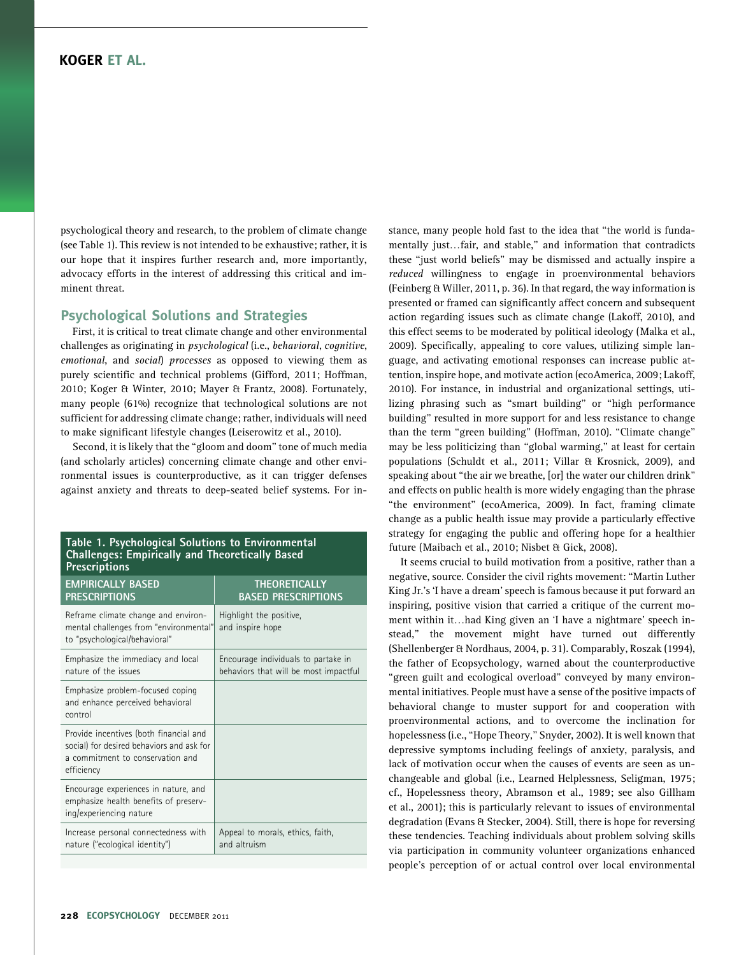psychological theory and research, to the problem of climate change (see Table 1). This review is not intended to be exhaustive; rather, it is our hope that it inspires further research and, more importantly, advocacy efforts in the interest of addressing this critical and imminent threat.

#### Psychological Solutions and Strategies

First, it is critical to treat climate change and other environmental challenges as originating in psychological (i.e., behavioral, cognitive, emotional, and social) processes as opposed to viewing them as purely scientific and technical problems (Gifford, 2011; Hoffman, 2010; Koger & Winter, 2010; Mayer & Frantz, 2008). Fortunately, many people (61%) recognize that technological solutions are not sufficient for addressing climate change; rather, individuals will need to make significant lifestyle changes (Leiserowitz et al., 2010).

Second, it is likely that the ''gloom and doom'' tone of much media (and scholarly articles) concerning climate change and other environmental issues is counterproductive, as it can trigger defenses against anxiety and threats to deep-seated belief systems. For in-

#### Table 1. Psychological Solutions to Environmental Challenges: Empirically and Theoretically Based **Prescriptions**

| <b>EMPIRICALLY BASED</b><br><b>PRESCRIPTIONS</b>                                                                                      | <b>THEORETICALLY</b><br><b>BASED PRESCRIPTIONS</b>                           |
|---------------------------------------------------------------------------------------------------------------------------------------|------------------------------------------------------------------------------|
| Reframe climate change and environ-<br>mental challenges from "environmental"<br>to "psychological/behavioral"                        | Highlight the positive,<br>and inspire hope                                  |
| Emphasize the immediacy and local<br>nature of the issues                                                                             | Encourage individuals to partake in<br>behaviors that will be most impactful |
| Emphasize problem-focused coping<br>and enhance perceived behavioral<br>control                                                       |                                                                              |
| Provide incentives (both financial and<br>social) for desired behaviors and ask for<br>a commitment to conservation and<br>efficiency |                                                                              |
| Encourage experiences in nature, and<br>emphasize health benefits of preserv-<br>ing/experiencing nature                              |                                                                              |
| Increase personal connectedness with<br>nature ("ecological identity")                                                                | Appeal to morals, ethics, faith,<br>and altruism                             |

stance, many people hold fast to the idea that ''the world is fundamentally just...fair, and stable," and information that contradicts these ''just world beliefs'' may be dismissed and actually inspire a reduced willingness to engage in proenvironmental behaviors (Feinberg & Willer, 2011, p. 36). In that regard, the way information is presented or framed can significantly affect concern and subsequent action regarding issues such as climate change (Lakoff, 2010), and this effect seems to be moderated by political ideology (Malka et al., 2009). Specifically, appealing to core values, utilizing simple language, and activating emotional responses can increase public attention, inspire hope, and motivate action (ecoAmerica, 2009; Lakoff, 2010). For instance, in industrial and organizational settings, utilizing phrasing such as ''smart building'' or ''high performance building'' resulted in more support for and less resistance to change than the term ''green building'' (Hoffman, 2010). ''Climate change'' may be less politicizing than ''global warming,'' at least for certain populations (Schuldt et al., 2011; Villar & Krosnick, 2009), and speaking about ''the air we breathe, [or] the water our children drink'' and effects on public health is more widely engaging than the phrase ''the environment'' (ecoAmerica, 2009). In fact, framing climate change as a public health issue may provide a particularly effective strategy for engaging the public and offering hope for a healthier future (Maibach et al., 2010; Nisbet & Gick, 2008).

It seems crucial to build motivation from a positive, rather than a negative, source. Consider the civil rights movement: ''Martin Luther King Jr.'s 'I have a dream' speech is famous because it put forward an inspiring, positive vision that carried a critique of the current moment within it...had King given an 'I have a nightmare' speech instead,'' the movement might have turned out differently (Shellenberger & Nordhaus, 2004, p. 31). Comparably, Roszak (1994), the father of Ecopsychology, warned about the counterproductive "green guilt and ecological overload" conveyed by many environmental initiatives. People must have a sense of the positive impacts of behavioral change to muster support for and cooperation with proenvironmental actions, and to overcome the inclination for hopelessness (i.e., ''Hope Theory,'' Snyder, 2002). It is well known that depressive symptoms including feelings of anxiety, paralysis, and lack of motivation occur when the causes of events are seen as unchangeable and global (i.e., Learned Helplessness, Seligman, 1975; cf., Hopelessness theory, Abramson et al., 1989; see also Gillham et al., 2001); this is particularly relevant to issues of environmental degradation (Evans & Stecker, 2004). Still, there is hope for reversing these tendencies. Teaching individuals about problem solving skills via participation in community volunteer organizations enhanced people's perception of or actual control over local environmental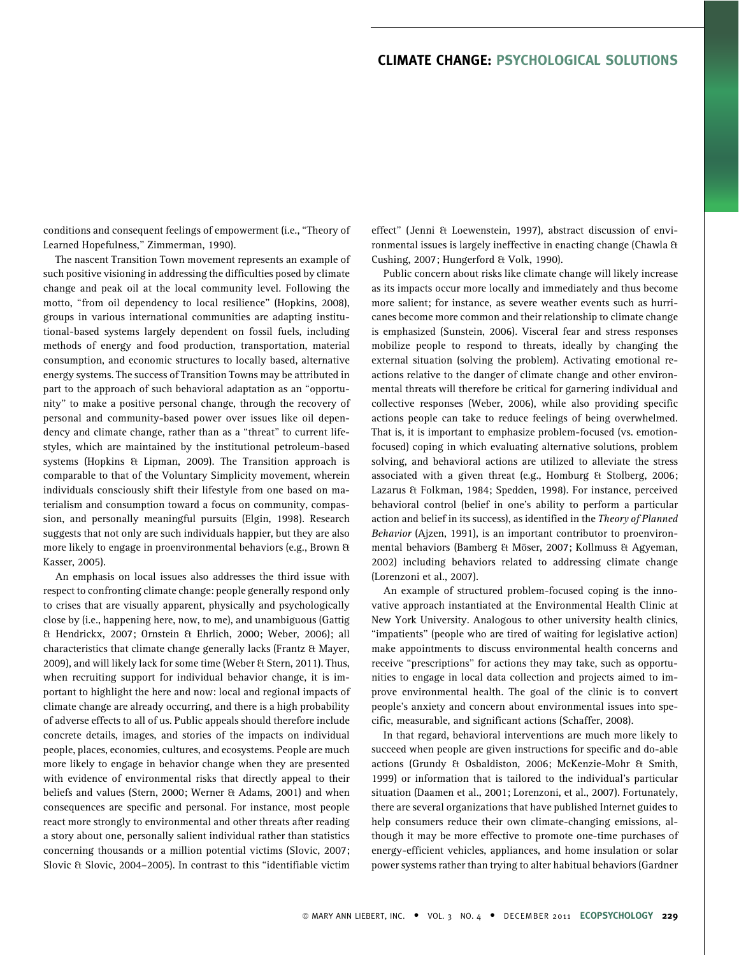conditions and consequent feelings of empowerment (i.e., ''Theory of Learned Hopefulness,'' Zimmerman, 1990).

The nascent Transition Town movement represents an example of such positive visioning in addressing the difficulties posed by climate change and peak oil at the local community level. Following the motto, "from oil dependency to local resilience" (Hopkins, 2008), groups in various international communities are adapting institutional-based systems largely dependent on fossil fuels, including methods of energy and food production, transportation, material consumption, and economic structures to locally based, alternative energy systems. The success of Transition Towns may be attributed in part to the approach of such behavioral adaptation as an ''opportunity'' to make a positive personal change, through the recovery of personal and community-based power over issues like oil dependency and climate change, rather than as a "threat" to current lifestyles, which are maintained by the institutional petroleum-based systems (Hopkins & Lipman, 2009). The Transition approach is comparable to that of the Voluntary Simplicity movement, wherein individuals consciously shift their lifestyle from one based on materialism and consumption toward a focus on community, compassion, and personally meaningful pursuits (Elgin, 1998). Research suggests that not only are such individuals happier, but they are also more likely to engage in proenvironmental behaviors (e.g., Brown & Kasser, 2005).

An emphasis on local issues also addresses the third issue with respect to confronting climate change: people generally respond only to crises that are visually apparent, physically and psychologically close by (i.e., happening here, now, to me), and unambiguous (Gattig & Hendrickx, 2007; Ornstein & Ehrlich, 2000; Weber, 2006); all characteristics that climate change generally lacks (Frantz & Mayer, 2009), and will likely lack for some time (Weber & Stern, 2011). Thus, when recruiting support for individual behavior change, it is important to highlight the here and now: local and regional impacts of climate change are already occurring, and there is a high probability of adverse effects to all of us. Public appeals should therefore include concrete details, images, and stories of the impacts on individual people, places, economies, cultures, and ecosystems. People are much more likely to engage in behavior change when they are presented with evidence of environmental risks that directly appeal to their beliefs and values (Stern, 2000; Werner & Adams, 2001) and when consequences are specific and personal. For instance, most people react more strongly to environmental and other threats after reading a story about one, personally salient individual rather than statistics concerning thousands or a million potential victims (Slovic, 2007; Slovic & Slovic, 2004–2005). In contrast to this ''identifiable victim

effect'' ( Jenni & Loewenstein, 1997), abstract discussion of environmental issues is largely ineffective in enacting change (Chawla & Cushing, 2007; Hungerford & Volk, 1990).

Public concern about risks like climate change will likely increase as its impacts occur more locally and immediately and thus become more salient; for instance, as severe weather events such as hurricanes become more common and their relationship to climate change is emphasized (Sunstein, 2006). Visceral fear and stress responses mobilize people to respond to threats, ideally by changing the external situation (solving the problem). Activating emotional reactions relative to the danger of climate change and other environmental threats will therefore be critical for garnering individual and collective responses (Weber, 2006), while also providing specific actions people can take to reduce feelings of being overwhelmed. That is, it is important to emphasize problem-focused (vs. emotionfocused) coping in which evaluating alternative solutions, problem solving, and behavioral actions are utilized to alleviate the stress associated with a given threat (e.g., Homburg & Stolberg, 2006; Lazarus & Folkman, 1984; Spedden, 1998). For instance, perceived behavioral control (belief in one's ability to perform a particular action and belief in its success), as identified in the Theory of Planned Behavior (Ajzen, 1991), is an important contributor to proenvironmental behaviors (Bamberg & Möser, 2007; Kollmuss & Agyeman, 2002) including behaviors related to addressing climate change (Lorenzoni et al., 2007).

An example of structured problem-focused coping is the innovative approach instantiated at the Environmental Health Clinic at New York University. Analogous to other university health clinics, ''impatients'' (people who are tired of waiting for legislative action) make appointments to discuss environmental health concerns and receive "prescriptions" for actions they may take, such as opportunities to engage in local data collection and projects aimed to improve environmental health. The goal of the clinic is to convert people's anxiety and concern about environmental issues into specific, measurable, and significant actions (Schaffer, 2008).

In that regard, behavioral interventions are much more likely to succeed when people are given instructions for specific and do-able actions (Grundy & Osbaldiston, 2006; McKenzie-Mohr & Smith, 1999) or information that is tailored to the individual's particular situation (Daamen et al., 2001; Lorenzoni, et al., 2007). Fortunately, there are several organizations that have published Internet guides to help consumers reduce their own climate-changing emissions, although it may be more effective to promote one-time purchases of energy-efficient vehicles, appliances, and home insulation or solar power systems rather than trying to alter habitual behaviors (Gardner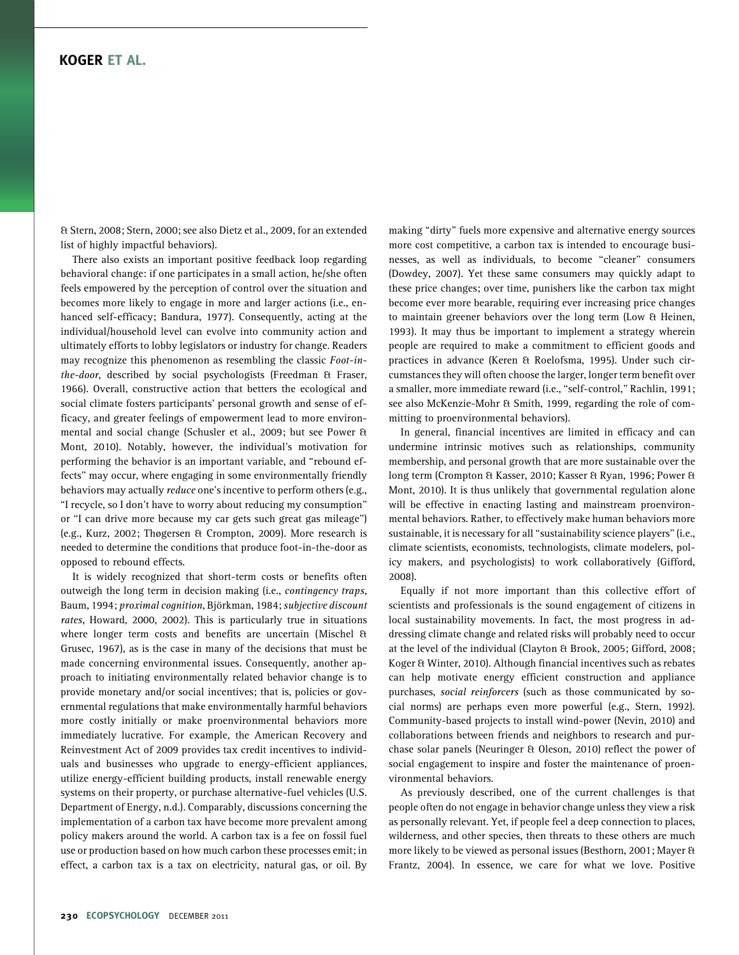& Stern, 2008; Stern, 2000; see also Dietz et al., 2009, for an extended list of highly impactful behaviors).

There also exists an important positive feedback loop regarding behavioral change: if one participates in a small action, he/she often feels empowered by the perception of control over the situation and becomes more likely to engage in more and larger actions (i.e., enhanced self-efficacy; Bandura, 1977). Consequently, acting at the individual/household level can evolve into community action and ultimately efforts to lobby legislators or industry for change. Readers may recognize this phenomenon as resembling the classic Foot-inthe-door, described by social psychologists (Freedman & Fraser, 1966). Overall, constructive action that betters the ecological and social climate fosters participants' personal growth and sense of efficacy, and greater feelings of empowerment lead to more environmental and social change (Schusler et al., 2009; but see Power & Mont, 2010). Notably, however, the individual's motivation for performing the behavior is an important variable, and ''rebound effects'' may occur, where engaging in some environmentally friendly behaviors may actually reduce one's incentive to perform others (e.g., ''I recycle, so I don't have to worry about reducing my consumption'' or ''I can drive more because my car gets such great gas mileage'') (e.g., Kurz, 2002; Thøgersen & Crompton, 2009). More research is needed to determine the conditions that produce foot-in-the-door as opposed to rebound effects.

It is widely recognized that short-term costs or benefits often outweigh the long term in decision making (i.e., contingency traps, Baum, 1994; proximal cognition, Björkman, 1984; subjective discount rates, Howard, 2000, 2002). This is particularly true in situations where longer term costs and benefits are uncertain (Mischel & Grusec, 1967), as is the case in many of the decisions that must be made concerning environmental issues. Consequently, another approach to initiating environmentally related behavior change is to provide monetary and/or social incentives; that is, policies or governmental regulations that make environmentally harmful behaviors more costly initially or make proenvironmental behaviors more immediately lucrative. For example, the American Recovery and Reinvestment Act of 2009 provides tax credit incentives to individuals and businesses who upgrade to energy-efficient appliances, utilize energy-efficient building products, install renewable energy systems on their property, or purchase alternative-fuel vehicles (U.S. Department of Energy, n.d.). Comparably, discussions concerning the implementation of a carbon tax have become more prevalent among policy makers around the world. A carbon tax is a fee on fossil fuel use or production based on how much carbon these processes emit; in effect, a carbon tax is a tax on electricity, natural gas, or oil. By

making ''dirty'' fuels more expensive and alternative energy sources more cost competitive, a carbon tax is intended to encourage businesses, as well as individuals, to become "cleaner" consumers (Dowdey, 2007). Yet these same consumers may quickly adapt to these price changes; over time, punishers like the carbon tax might become ever more bearable, requiring ever increasing price changes to maintain greener behaviors over the long term (Low & Heinen, 1993). It may thus be important to implement a strategy wherein people are required to make a commitment to efficient goods and practices in advance (Keren & Roelofsma, 1995). Under such circumstances they will often choose the larger, longer term benefit over a smaller, more immediate reward (i.e., "self-control," Rachlin, 1991; see also McKenzie-Mohr & Smith, 1999, regarding the role of committing to proenvironmental behaviors).

In general, financial incentives are limited in efficacy and can undermine intrinsic motives such as relationships, community membership, and personal growth that are more sustainable over the long term (Crompton & Kasser, 2010; Kasser & Ryan, 1996; Power & Mont, 2010). It is thus unlikely that governmental regulation alone will be effective in enacting lasting and mainstream proenvironmental behaviors. Rather, to effectively make human behaviors more sustainable, it is necessary for all ''sustainability science players'' (i.e., climate scientists, economists, technologists, climate modelers, policy makers, and psychologists) to work collaboratively (Gifford, 2008).

Equally if not more important than this collective effort of scientists and professionals is the sound engagement of citizens in local sustainability movements. In fact, the most progress in addressing climate change and related risks will probably need to occur at the level of the individual (Clayton & Brook, 2005; Gifford, 2008; Koger & Winter, 2010). Although financial incentives such as rebates can help motivate energy efficient construction and appliance purchases, social reinforcers (such as those communicated by social norms) are perhaps even more powerful (e.g., Stern, 1992). Community-based projects to install wind-power (Nevin, 2010) and collaborations between friends and neighbors to research and purchase solar panels (Neuringer & Oleson, 2010) reflect the power of social engagement to inspire and foster the maintenance of proenvironmental behaviors.

As previously described, one of the current challenges is that people often do not engage in behavior change unless they view a risk as personally relevant. Yet, if people feel a deep connection to places, wilderness, and other species, then threats to these others are much more likely to be viewed as personal issues (Besthorn, 2001; Mayer & Frantz, 2004). In essence, we care for what we love. Positive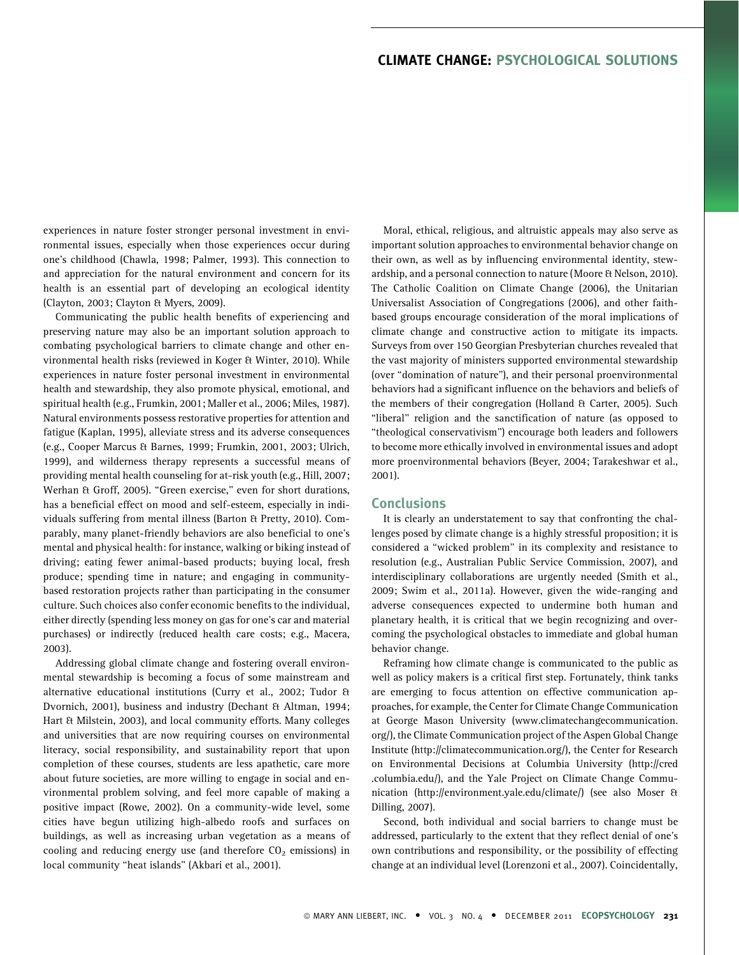# CLIMATE CHANGE: PSYCHOLOGICAL SOLUTIONS

experiences in nature foster stronger personal investment in environmental issues, especially when those experiences occur during one's childhood (Chawla, 1998; Palmer, 1993). This connection to and appreciation for the natural environment and concern for its health is an essential part of developing an ecological identity (Clayton, 2003; Clayton & Myers, 2009).

Communicating the public health benefits of experiencing and preserving nature may also be an important solution approach to combating psychological barriers to climate change and other environmental health risks (reviewed in Koger & Winter, 2010). While experiences in nature foster personal investment in environmental health and stewardship, they also promote physical, emotional, and spiritual health (e.g., Frumkin, 2001; Maller et al., 2006; Miles, 1987). Natural environments possess restorative properties for attention and fatigue (Kaplan, 1995), alleviate stress and its adverse consequences (e.g., Cooper Marcus & Barnes, 1999; Frumkin, 2001, 2003; Ulrich, 1999), and wilderness therapy represents a successful means of providing mental health counseling for at-risk youth (e.g., Hill, 2007; Werhan & Groff, 2005). "Green exercise," even for short durations, has a beneficial effect on mood and self-esteem, especially in individuals suffering from mental illness (Barton & Pretty, 2010). Comparably, many planet-friendly behaviors are also beneficial to one's mental and physical health: for instance, walking or biking instead of driving; eating fewer animal-based products; buying local, fresh produce; spending time in nature; and engaging in communitybased restoration projects rather than participating in the consumer culture. Such choices also confer economic benefits to the individual, either directly (spending less money on gas for one's car and material purchases) or indirectly (reduced health care costs; e.g., Macera, 2003).

Addressing global climate change and fostering overall environmental stewardship is becoming a focus of some mainstream and alternative educational institutions (Curry et al., 2002; Tudor & Dvornich, 2001), business and industry (Dechant & Altman, 1994; Hart & Milstein, 2003), and local community efforts. Many colleges and universities that are now requiring courses on environmental literacy, social responsibility, and sustainability report that upon completion of these courses, students are less apathetic, care more about future societies, are more willing to engage in social and environmental problem solving, and feel more capable of making a positive impact (Rowe, 2002). On a community-wide level, some cities have begun utilizing high-albedo roofs and surfaces on buildings, as well as increasing urban vegetation as a means of cooling and reducing energy use (and therefore  $CO<sub>2</sub>$  emissions) in local community ''heat islands'' (Akbari et al., 2001).

Moral, ethical, religious, and altruistic appeals may also serve as important solution approaches to environmental behavior change on their own, as well as by influencing environmental identity, stewardship, and a personal connection to nature (Moore & Nelson, 2010). The Catholic Coalition on Climate Change (2006), the Unitarian Universalist Association of Congregations (2006), and other faithbased groups encourage consideration of the moral implications of climate change and constructive action to mitigate its impacts. Surveys from over 150 Georgian Presbyterian churches revealed that the vast majority of ministers supported environmental stewardship (over ''domination of nature''), and their personal proenvironmental behaviors had a significant influence on the behaviors and beliefs of the members of their congregation (Holland & Carter, 2005). Such "liberal" religion and the sanctification of nature (as opposed to ''theological conservativism'') encourage both leaders and followers to become more ethically involved in environmental issues and adopt more proenvironmental behaviors (Beyer, 2004; Tarakeshwar et al., 2001).

#### **Conclusions**

It is clearly an understatement to say that confronting the challenges posed by climate change is a highly stressful proposition; it is considered a ''wicked problem'' in its complexity and resistance to resolution (e.g., Australian Public Service Commission, 2007), and interdisciplinary collaborations are urgently needed (Smith et al., 2009; Swim et al., 2011a). However, given the wide-ranging and adverse consequences expected to undermine both human and planetary health, it is critical that we begin recognizing and overcoming the psychological obstacles to immediate and global human behavior change.

Reframing how climate change is communicated to the public as well as policy makers is a critical first step. Fortunately, think tanks are emerging to focus attention on effective communication approaches, for example, the Center for Climate Change Communication at George Mason University (www.climatechangecommunication. org/), the Climate Communication project of the Aspen Global Change Institute (http://climatecommunication.org/), the Center for Research on Environmental Decisions at Columbia University (http://cred .columbia.edu/), and the Yale Project on Climate Change Communication (http://environment.yale.edu/climate/) (see also Moser & Dilling, 2007).

Second, both individual and social barriers to change must be addressed, particularly to the extent that they reflect denial of one's own contributions and responsibility, or the possibility of effecting change at an individual level (Lorenzoni et al., 2007). Coincidentally,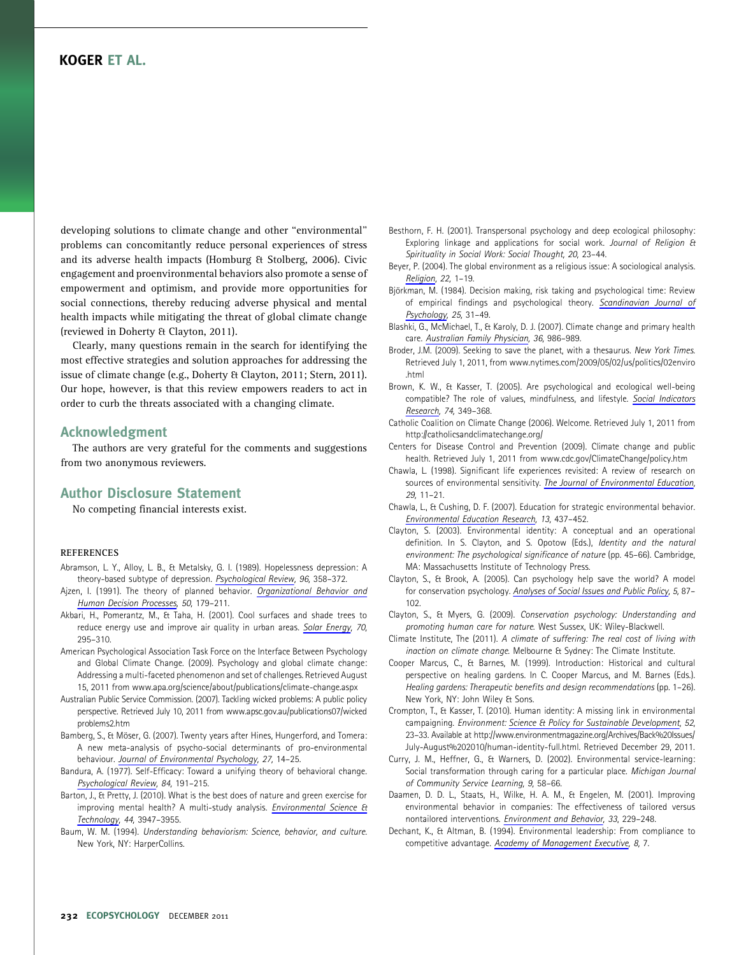developing solutions to climate change and other ''environmental'' problems can concomitantly reduce personal experiences of stress and its adverse health impacts (Homburg & Stolberg, 2006). Civic engagement and proenvironmental behaviors also promote a sense of empowerment and optimism, and provide more opportunities for social connections, thereby reducing adverse physical and mental health impacts while mitigating the threat of global climate change (reviewed in Doherty & Clayton, 2011).

Clearly, many questions remain in the search for identifying the most effective strategies and solution approaches for addressing the issue of climate change (e.g., Doherty & Clayton, 2011; Stern, 2011). Our hope, however, is that this review empowers readers to act in order to curb the threats associated with a changing climate.

#### Acknowledgment

The authors are very grateful for the comments and suggestions from two anonymous reviewers.

#### Author Disclosure Statement

No competing financial interests exist.

#### REFERENCES

- Abramson, L. Y., Alloy, L. B., & Metalsky, G. I. (1989). Hopelessness depression: A theory-based subtype of depression. Psychological Review, 96, 358–372.
- Ajzen, I. (1991). The theory of planned behavior. Organizational Behavior and Human Decision Processes, 50, 179–211.
- Akbari, H., Pomerantz, M., & Taha, H. (2001). Cool surfaces and shade trees to reduce energy use and improve air quality in urban areas. Solar Energy, 70, 295–310.
- American Psychological Association Task Force on the Interface Between Psychology and Global Climate Change. (2009). Psychology and global climate change: Addressing a multi-faceted phenomenon and set of challenges. Retrieved August 15, 2011 from www.apa.org/science/about/publications/climate-change.aspx
- Australian Public Service Commission. (2007). Tackling wicked problems: A public policy perspective. Retrieved July 10, 2011 from www.apsc.gov.au/publications07/wicked problems2.htm
- Bamberg, S., & Möser, G. (2007). Twenty years after Hines, Hungerford, and Tomera: A new meta-analysis of psycho-social determinants of pro-environmental behaviour. Journal of Environmental Psychology, 27, 14–25.
- Bandura, A. (1977). Self-Efficacy: Toward a unifying theory of behavioral change. Psychological Review, 84, 191–215.
- Barton, J., & Pretty, J. (2010). What is the best does of nature and green exercise for improving mental health? A multi-study analysis. *Environmental Science &* Technology, 44, 3947–3955.
- Baum, W. M. (1994). Understanding behaviorism: Science, behavior, and culture. New York, NY: HarperCollins.
- Besthorn, F. H. (2001). Transpersonal psychology and deep ecological philosophy: Exploring linkage and applications for social work. Journal of Religion & Spirituality in Social Work: Social Thought, 20, 23–44.
- Beyer, P. (2004). The global environment as a religious issue: A sociological analysis. Religion, 22, 1-19.
- Björkman, M. (1984). Decision making, risk taking and psychological time: Review of empirical findings and psychological theory. Scandinavian Journal of Psychology, 25, 31–49.
- Blashki, G., McMichael, T., & Karoly, D. J. (2007). Climate change and primary health care. Australian Family Physician, 36, 986-989.
- Broder, J.M. (2009). Seeking to save the planet, with a thesaurus. New York Times. Retrieved July 1, 2011, from www.nytimes.com/2009/05/02/us/politics/02enviro .html
- Brown, K. W., & Kasser, T. (2005). Are psychological and ecological well-being compatible? The role of values, mindfulness, and lifestyle. Social Indicators Research, 74, 349–368.
- Catholic Coalition on Climate Change (2006). Welcome. Retrieved July 1, 2011 from http://catholicsandclimatechange.org/
- Centers for Disease Control and Prevention (2009). Climate change and public health. Retrieved July 1, 2011 from www.cdc.gov/ClimateChange/policy.htm
- Chawla, L. (1998). Significant life experiences revisited: A review of research on sources of environmental sensitivity. The Journal of Environmental Education, 29, 11–21.
- Chawla, L., & Cushing, D. F. (2007). Education for strategic environmental behavior. Environmental Education Research, 13, 437–452.
- Clayton, S. (2003). Environmental identity: A conceptual and an operational definition. In S. Clayton, and S. Opotow (Eds.), Identity and the natural environment: The psychological significance of nature (pp. 45–66). Cambridge, MA: Massachusetts Institute of Technology Press.
- Clayton, S., & Brook, A. (2005). Can psychology help save the world? A model for conservation psychology. Analyses of Social Issues and Public Policy, 5, 87-102.
- Clayton, S., & Myers, G. (2009). Conservation psychology: Understanding and promoting human care for nature. West Sussex, UK: Wiley-Blackwell.
- Climate Institute, The (2011). A climate of suffering: The real cost of living with inaction on climate change. Melbourne & Sydney: The Climate Institute.
- Cooper Marcus, C., & Barnes, M. (1999). Introduction: Historical and cultural perspective on healing gardens. In C. Cooper Marcus, and M. Barnes (Eds.). Healing gardens: Therapeutic benefits and design recommendations (pp. 1–26). New York, NY: John Wiley & Sons.
- Crompton, T., & Kasser, T. (2010). Human identity: A missing link in environmental campaigning. Environment: Science & Policy for Sustainable Development, 52, 23–33. Available at http://www.environmentmagazine.org/Archives/Back%20Issues/ July-August%202010/human-identity-full.html. Retrieved December 29, 2011.
- Curry, J. M., Heffner, G., & Warners, D. (2002). Environmental service-learning: Social transformation through caring for a particular place. Michigan Journal of Community Service Learning, 9, 58–66.
- Daamen, D. D. L., Staats, H., Wilke, H. A. M., & Engelen, M. (2001). Improving environmental behavior in companies: The effectiveness of tailored versus nontailored interventions. Environment and Behavior, 33, 229–248.
- Dechant, K., & Altman, B. (1994). Environmental leadership: From compliance to competitive advantage. Academy of Management Executive, 8, 7.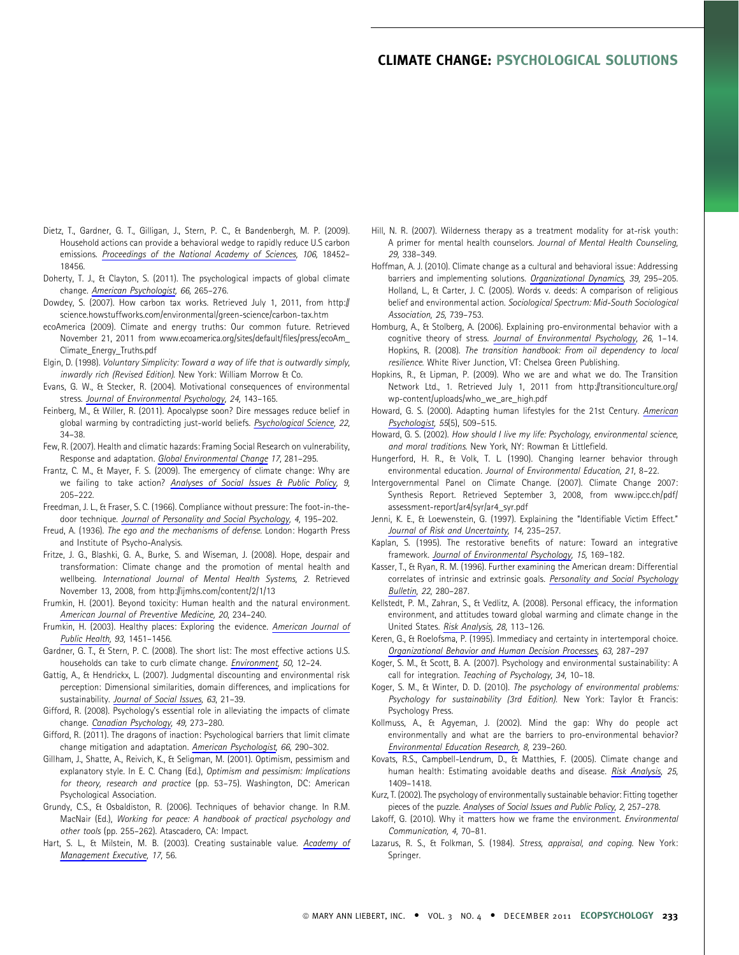# CLIMATE CHANGE: PSYCHOLOGICAL SOLUTIONS

- Dietz, T., Gardner, G. T., Gilligan, J., Stern, P. C., & Bandenbergh, M. P. (2009). Household actions can provide a behavioral wedge to rapidly reduce U.S carbon emissions. Proceedings of the National Academy of Sciences, 106, 18452– 18456.
- Doherty, T. J., & Clayton, S. (2011). The psychological impacts of global climate change. American Psychologist, 66, 265–276.
- Dowdey, S. (2007). How carbon tax works. Retrieved July 1, 2011, from http:// science.howstuffworks.com/environmental/green-science/carbon-tax.htm
- ecoAmerica (2009). Climate and energy truths: Our common future. Retrieved November 21, 2011 from www.ecoamerica.org/sites/default/files/press/ecoAm\_ Climate\_Energy\_Truths.pdf
- Elgin, D. (1998). Voluntary Simplicity: Toward a way of life that is outwardly simply, inwardly rich (Revised Edition). New York: William Morrow & Co.
- Evans, G. W., & Stecker, R. (2004). Motivational consequences of environmental stress. Journal of Environmental Psychology, 24, 143–165.
- Feinberg, M., & Willer, R. (2011). Apocalypse soon? Dire messages reduce belief in global warming by contradicting just-world beliefs. Psychological Science, 22, 34–38.
- Few, R. (2007). Health and climatic hazards: Framing Social Research on vulnerability, Response and adaptation. Global Environmental Change 17, 281–295.
- Frantz, C. M., & Mayer, F. S. (2009). The emergency of climate change: Why are we failing to take action? Analyses of Social Issues & Public Policy, 9, 205–222.
- Freedman, J. L., & Fraser, S. C. (1966). Compliance without pressure: The foot-in-thedoor technique. Journal of Personality and Social Psychology, 4, 195–202.
- Freud, A. (1936). The ego and the mechanisms of defense. London: Hogarth Press and Institute of Psycho-Analysis.
- Fritze, J. G., Blashki, G. A., Burke, S. and Wiseman, J. (2008). Hope, despair and transformation: Climate change and the promotion of mental health and wellbeing. International Journal of Mental Health Systems, 2. Retrieved November 13, 2008, from http://ijmhs.com/content/2/1/13
- Frumkin, H. (2001). Beyond toxicity: Human health and the natural environment. American Journal of Preventive Medicine, 20, 234–240.
- Frumkin, H. (2003). Healthy places: Exploring the evidence. American Journal of Public Health, 93, 1451–1456.
- Gardner, G. T., & Stern, P. C. (2008). The short list: The most effective actions U.S. households can take to curb climate change. Environment, 50, 12–24.
- Gattig, A., & Hendrickx, L. (2007). Judgmental discounting and environmental risk perception: Dimensional similarities, domain differences, and implications for sustainability. Journal of Social Issues, 63, 21-39.
- Gifford, R. (2008). Psychology's essential role in alleviating the impacts of climate change. Canadian Psychology, 49, 273–280.
- Gifford, R. (2011). The dragons of inaction: Psychological barriers that limit climate change mitigation and adaptation. American Psychologist, 66, 290-302.
- Gillham, J., Shatte, A., Reivich, K., & Seligman, M. (2001). Optimism, pessimism and explanatory style. In E. C. Chang (Ed.), Optimism and pessimism: Implications for theory, research and practice (pp. 53–75). Washington, DC: American Psychological Association.
- Grundy, C.S., & Osbaldiston, R. (2006). Techniques of behavior change. In R.M. MacNair (Ed.), Working for peace: A handbook of practical psychology and other tools (pp. 255–262). Atascadero, CA: Impact.
- Hart, S. L., & Milstein, M. B. (2003). Creating sustainable value. Academy of Management Executive, 17, 56.
- Hill, N. R. (2007). Wilderness therapy as a treatment modality for at-risk youth: A primer for mental health counselors. Journal of Mental Health Counseling, 29, 338–349.
- Hoffman, A. J. (2010). Climate change as a cultural and behavioral issue: Addressing barriers and implementing solutions. Organizational Dynamics, 39, 295-205. Holland, L., & Carter, J. C. (2005). Words v. deeds: A comparison of religious belief and environmental action. Sociological Spectrum: Mid-South Sociological Association, 25, 739–753.
- Homburg, A., & Stolberg, A. (2006). Explaining pro-environmental behavior with a cognitive theory of stress. Journal of Environmental Psychology, 26, 1-14. Hopkins, R. (2008). The transition handbook: From oil dependency to local resilience. White River Junction, VT: Chelsea Green Publishing.
- Hopkins, R., & Lipman, P. (2009). Who we are and what we do. The Transition Network Ltd., 1. Retrieved July 1, 2011 from http://transitionculture.org/ wp-content/uploads/who\_we\_are\_high.pdf
- Howard, G. S. (2000). Adapting human lifestyles for the 21st Century. American Psychologist, 55(5), 509–515.
- Howard, G. S. (2002). How should I live my life: Psychology, environmental science, and moral traditions. New York, NY: Rowman & Littlefield.
- Hungerford, H. R., & Volk, T. L. (1990). Changing learner behavior through environmental education. Journal of Environmental Education, 21, 8–22.
- Intergovernmental Panel on Climate Change. (2007). Climate Change 2007: Synthesis Report. Retrieved September 3, 2008, from www.ipcc.ch/pdf/ assessment-report/ar4/syr/ar4\_syr.pdf
- Jenni, K. E., & Loewenstein, G. (1997). Explaining the ''Identifiable Victim Effect.'' Journal of Risk and Uncertainty, 14, 235–257.
- Kaplan, S. (1995). The restorative benefits of nature: Toward an integrative framework. Journal of Environmental Psychology, 15, 169-182.
- Kasser, T., & Ryan, R. M. (1996). Further examining the American dream: Differential correlates of intrinsic and extrinsic goals. Personality and Social Psychology Bulletin, 22, 280–287.
- Kellstedt, P. M., Zahran, S., & Vedlitz, A. (2008). Personal efficacy, the information environment, and attitudes toward global warming and climate change in the United States. Risk Analysis, 28, 113–126.
- Keren, G., & Roelofsma, P. (1995). Immediacy and certainty in intertemporal choice. Organizational Behavior and Human Decision Processes, 63, 287–297
- Koger, S. M., & Scott, B. A. (2007). Psychology and environmental sustainability: A call for integration. Teaching of Psychology, 34, 10–18.
- Koger, S. M., & Winter, D. D. (2010). The psychology of environmental problems: Psychology for sustainability (3rd Edition). New York: Taylor & Francis: Psychology Press.
- Kollmuss, A., & Agyeman, J. (2002). Mind the gap: Why do people act environmentally and what are the barriers to pro-environmental behavior? Environmental Education Research, 8, 239–260.
- Kovats, R.S., Campbell-Lendrum, D., & Matthies, F. (2005). Climate change and human health: Estimating avoidable deaths and disease. Risk Analysis, 25, 1409–1418.
- Kurz, T. (2002). The psychology of environmentally sustainable behavior: Fitting together pieces of the puzzle. Analyses of Social Issues and Public Policy, 2, 257–278.
- Lakoff, G. (2010). Why it matters how we frame the environment. Environmental Communication, 4, 70–81.
- Lazarus, R. S., & Folkman, S. (1984). Stress, appraisal, and coping. New York: Springer.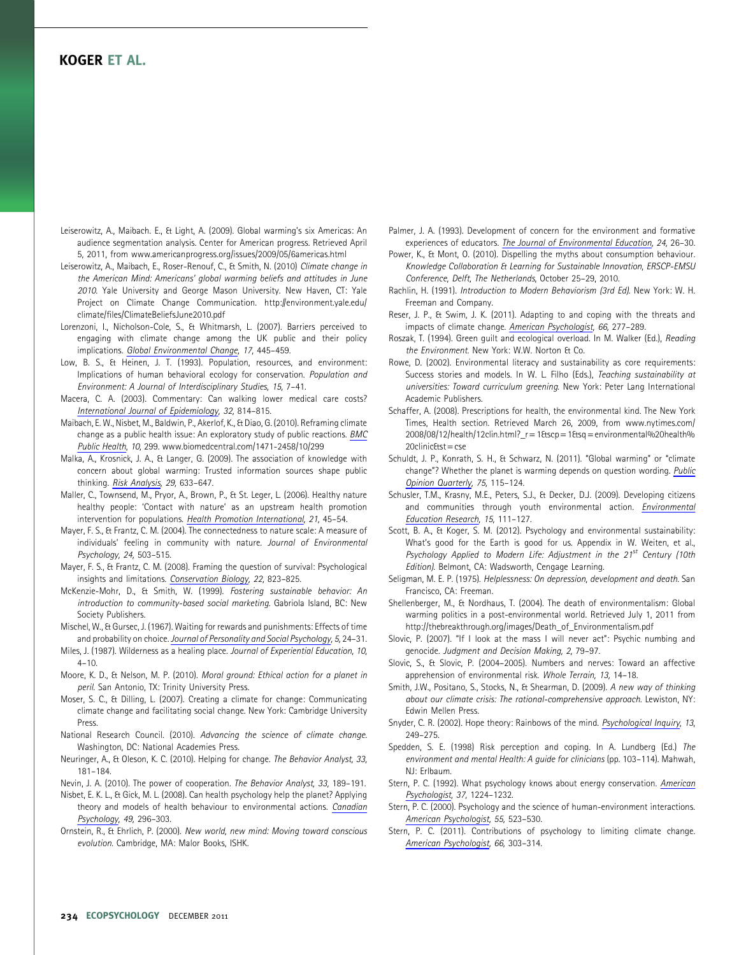Leiserowitz, A., Maibach. E., & Light, A. (2009). Global warming's six Americas: An audience segmentation analysis. Center for American progress. Retrieved April 5, 2011, from www.americanprogress.org/issues/2009/05/6americas.html

- Leiserowitz, A., Maibach, E., Roser-Renouf, C., & Smith, N. (2010) Climate change in the American Mind: Americans' global warming beliefs and attitudes in June 2010. Yale University and George Mason University. New Haven, CT: Yale Project on Climate Change Communication. http://environment.yale.edu/ climate/files/ClimateBeliefsJune2010.pdf
- Lorenzoni, I., Nicholson-Cole, S., & Whitmarsh, L. (2007). Barriers perceived to engaging with climate change among the UK public and their policy implications. Global Environmental Change, 17, 445-459.
- Low, B. S., & Heinen, J. T. (1993). Population, resources, and environment: Implications of human behavioral ecology for conservation. Population and Environment: A Journal of Interdisciplinary Studies, 15, 7–41.
- Macera, C. A. (2003). Commentary: Can walking lower medical care costs? International Journal of Epidemiology, 32, 814–815.
- Maibach, E. W., Nisbet, M., Baldwin, P., Akerlof, K., & Diao, G. (2010). Reframing climate change as a public health issue: An exploratory study of public reactions. BMC Public Health, 10, 299. www.biomedcentral.com/1471-2458/10/299
- Malka, A., Krosnick, J. A., & Langer, G. (2009). The association of knowledge with concern about global warming: Trusted information sources shape public thinking. Risk Analysis, 29, 633–647.
- Maller, C., Townsend, M., Pryor, A., Brown, P., & St. Leger, L. (2006). Healthy nature healthy people: 'Contact with nature' as an upstream health promotion intervention for populations. Health Promotion International, 21, 45–54.
- Mayer, F. S., & Frantz, C. M. (2004). The connectedness to nature scale: A measure of individuals' feeling in community with nature. Journal of Environmental Psychology, 24, 503–515.
- Mayer, F. S., & Frantz, C. M. (2008). Framing the question of survival: Psychological insights and limitations. Conservation Biology, 22, 823–825.
- McKenzie-Mohr, D., & Smith, W. (1999). Fostering sustainable behavior: An introduction to community-based social marketing. Gabriola Island, BC: New Society Publishers.
- Mischel, W., & Gursec, J. (1967). Waiting for rewards and punishments: Effects of time and probability on choice. Journal of Personality and Social Psychology, 5, 24-31.
- Miles, J. (1987). Wilderness as a healing place. Journal of Experiential Education, 10,  $4 - 10$ .
- Moore, K. D., & Nelson, M. P. (2010). Moral ground: Ethical action for a planet in peril. San Antonio, TX: Trinity University Press.
- Moser, S. C., & Dilling, L. (2007). Creating a climate for change: Communicating climate change and facilitating social change. New York: Cambridge University Press.
- National Research Council. (2010). Advancing the science of climate change. Washington, DC: National Academies Press.
- Neuringer, A., & Oleson, K. C. (2010). Helping for change. The Behavior Analyst, 33, 181–184.
- Nevin, J. A. (2010). The power of cooperation. The Behavior Analyst, 33, 189–191.
- Nisbet, E. K. L., & Gick, M. L. (2008). Can health psychology help the planet? Applying theory and models of health behaviour to environmental actions. Canadian Psychology, 49, 296–303.
- Ornstein, R., & Ehrlich, P. (2000). New world, new mind: Moving toward conscious evolution. Cambridge, MA: Malor Books, ISHK.

Palmer, J. A. (1993). Development of concern for the environment and formative experiences of educators. The Journal of Environmental Education, 24, 26–30.

- Power, K., & Mont, O. (2010). Dispelling the myths about consumption behaviour. Knowledge Collaboration & Learning for Sustainable Innovation, ERSCP-EMSU Conference, Delft, The Netherlands, October 25–29, 2010.
- Rachlin, H. (1991). Introduction to Modern Behaviorism (3rd Ed). New York: W. H. Freeman and Company.
- Reser, J. P., & Swim, J. K. (2011). Adapting to and coping with the threats and impacts of climate change. American Psychologist, 66, 277–289.
- Roszak, T. (1994). Green guilt and ecological overload. In M. Walker (Ed.), Reading the Environment. New York: W.W. Norton & Co.
- Rowe, D. (2002). Environmental literacy and sustainability as core requirements: Success stories and models. In W. L. Filho (Eds.), Teaching sustainability at universities: Toward curriculum greening. New York: Peter Lang International Academic Publishers.
- Schaffer, A. (2008). Prescriptions for health, the environmental kind. The New York Times, Health section. Retrieved March 26, 2009, from www.nytimes.com/ 2008/08/12/health/12clin.html?\_r = 1&scp = 1&sq = environmental%20health% 20clinic&st = cse
- Schuldt, J. P., Konrath, S. H., & Schwarz, N. (2011). ''Global warming'' or ''climate change''? Whether the planet is warming depends on question wording. Public Opinion Quarterly, 75, 115–124.
- Schusler, T.M., Krasny, M.E., Peters, S.J., & Decker, D.J. (2009). Developing citizens and communities through youth environmental action. Environmental Education Research, 15, 111–127.
- Scott, B. A., & Koger, S. M. (2012). Psychology and environmental sustainability: What's good for the Earth is good for us. Appendix in W. Weiten, et al., Psychology Applied to Modern Life: Adjustment in the  $21^{st}$  Century (10th Edition). Belmont, CA: Wadsworth, Cengage Learning.
- Seligman, M. E. P. (1975). Helplessness: On depression, development and death. San Francisco, CA: Freeman.
- Shellenberger, M., & Nordhaus, T. (2004). The death of environmentalism: Global warming politics in a post-environmental world. Retrieved July 1, 2011 from http://thebreakthrough.org/images/Death\_of\_Environmentalism.pdf
- Slovic, P. (2007). ''If I look at the mass I will never act'': Psychic numbing and genocide. Judgment and Decision Making, 2, 79–97.
- Slovic, S., & Slovic, P. (2004–2005). Numbers and nerves: Toward an affective apprehension of environmental risk. Whole Terrain, 13, 14–18.
- Smith, J.W., Positano, S., Stocks, N., & Shearman, D. (2009). A new way of thinking about our climate crisis: The rational-comprehensive approach. Lewiston, NY: Edwin Mellen Press.
- Snyder, C. R. (2002). Hope theory: Rainbows of the mind. Psychological Inquiry, 13, 249–275.
- Spedden, S. E. (1998) Risk perception and coping. In A. Lundberg (Ed.) The environment and mental Health: A guide for clinicians (pp. 103–114). Mahwah, NJ: Erlbaum.
- Stern, P. C. (1992). What psychology knows about energy conservation. American Psychologist, 37, 1224–1232.
- Stern, P. C. (2000). Psychology and the science of human-environment interactions. American Psychologist, 55, 523–530.
- Stern, P. C. (2011). Contributions of psychology to limiting climate change. American Psychologist, 66, 303–314.